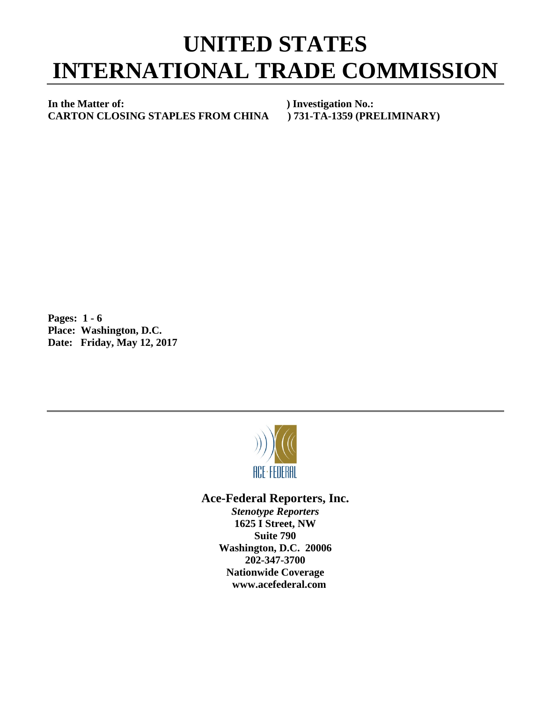## **UNITED STATES INTERNATIONAL TRADE COMMISSION**

**In the Matter of: ) Investigation No.: CARTON CLOSING STAPLES FROM CHINA ) 731-TA-1359 (PRELIMINARY)**

**Pages: 1 - 6 Place: Washington, D.C. Date: Friday, May 12, 2017**



## **Ace-Federal Reporters, Inc.**

*Stenotype Reporters* **1625 I Street, NW Suite 790 Washington, D.C. 20006 202-347-3700 Nationwide Coverage www.acefederal.com**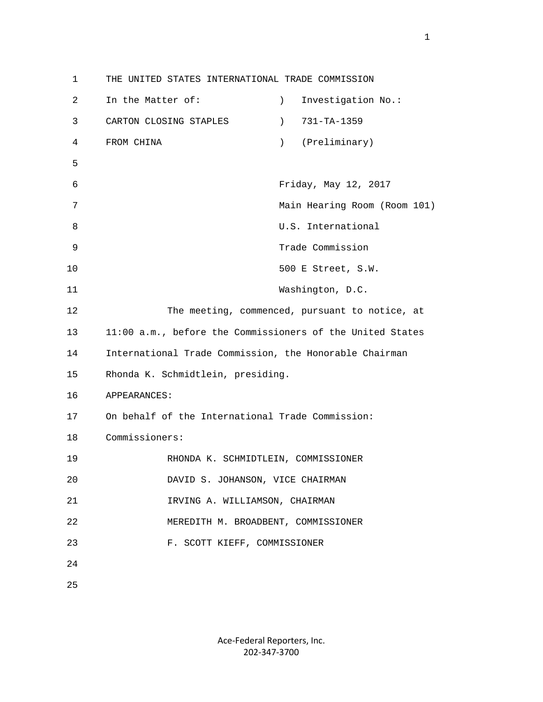1 THE UNITED STATES INTERNATIONAL TRADE COMMISSION 2 In the Matter of: ) Investigation No.: 3 CARTON CLOSING STAPLES ) 731-TA-1359 4 FROM CHINA ) (Preliminary) 5 6 Friday, May 12, 2017 7 Main Hearing Room (Room 101) 8 U.S. International 9 Trade Commission 10 500 E Street, S.W. 11 Washington, D.C. 12 The meeting, commenced, pursuant to notice, at 13 11:00 a.m., before the Commissioners of the United States 14 International Trade Commission, the Honorable Chairman 15 Rhonda K. Schmidtlein, presiding. 16 APPEARANCES: 17 On behalf of the International Trade Commission: 18 Commissioners: 19 RHONDA K. SCHMIDTLEIN, COMMISSIONER 20 DAVID S. JOHANSON, VICE CHAIRMAN 21 IRVING A. WILLIAMSON, CHAIRMAN 22 MEREDITH M. BROADBENT, COMMISSIONER 23 F. SCOTT KIEFF, COMMISSIONER 24 25

> Ace-Federal Reporters, Inc. 202-347-3700

1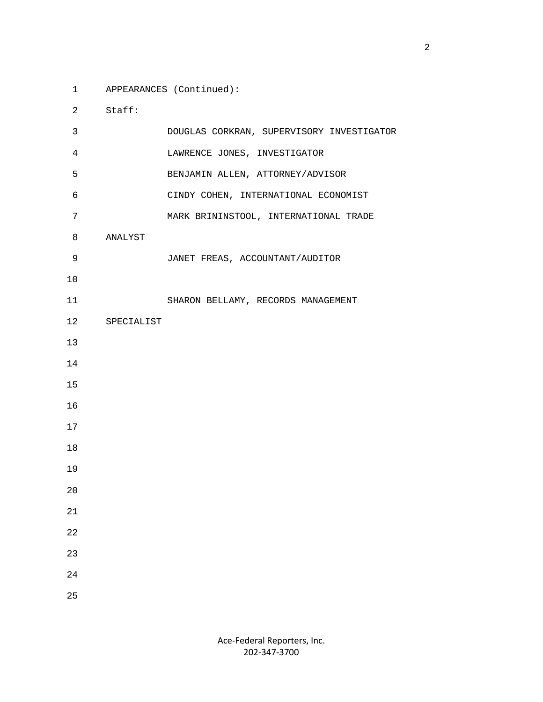1 APPEARANCES (Continued):

2 Staff:

| 3  |               | DOUGLAS CORKRAN, SUPERVISORY INVESTIGATOR |
|----|---------------|-------------------------------------------|
| 4  |               | LAWRENCE JONES, INVESTIGATOR              |
| 5  |               | BENJAMIN ALLEN, ATTORNEY/ADVISOR          |
| б  |               | CINDY COHEN, INTERNATIONAL ECONOMIST      |
| 7  |               | MARK BRININSTOOL, INTERNATIONAL TRADE     |
| 8  | ANALYST       |                                           |
| 9  |               | JANET FREAS, ACCOUNTANT/AUDITOR           |
| 10 |               |                                           |
| 11 |               | SHARON BELLAMY, RECORDS MANAGEMENT        |
|    | 12 SPECIALIST |                                           |
| 13 |               |                                           |
| 14 |               |                                           |
| 15 |               |                                           |
| 16 |               |                                           |
| 17 |               |                                           |
| 18 |               |                                           |
| 19 |               |                                           |
| 20 |               |                                           |
| 21 |               |                                           |
| 22 |               |                                           |
| 23 |               |                                           |
| 24 |               |                                           |
| 25 |               |                                           |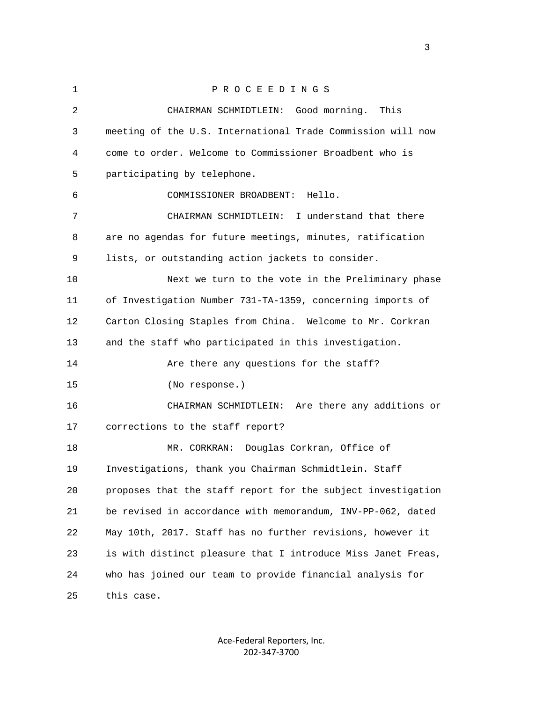| $\mathbf{1}$ | PROCEEDINGS                                                  |
|--------------|--------------------------------------------------------------|
| 2            | CHAIRMAN SCHMIDTLEIN: Good morning.<br>This                  |
| 3            | meeting of the U.S. International Trade Commission will now  |
| 4            | come to order. Welcome to Commissioner Broadbent who is      |
| 5            | participating by telephone.                                  |
| 6            | COMMISSIONER BROADBENT: Hello.                               |
| 7            | CHAIRMAN SCHMIDTLEIN: I understand that there                |
| 8            | are no agendas for future meetings, minutes, ratification    |
| 9            | lists, or outstanding action jackets to consider.            |
| 10           | Next we turn to the vote in the Preliminary phase            |
| 11           | of Investigation Number 731-TA-1359, concerning imports of   |
| 12           | Carton Closing Staples from China. Welcome to Mr. Corkran    |
| 13           | and the staff who participated in this investigation.        |
| 14           | Are there any questions for the staff?                       |
| 15           | (No response.)                                               |
| 16           | CHAIRMAN SCHMIDTLEIN: Are there any additions or             |
| 17           | corrections to the staff report?                             |
| 18           | MR. CORKRAN: Douglas Corkran, Office of                      |
| 19           | Investigations, thank you Chairman Schmidtlein. Staff        |
| 20           | proposes that the staff report for the subject investigation |
| 21           | be revised in accordance with memorandum, INV-PP-062, dated  |
| 22           | May 10th, 2017. Staff has no further revisions, however it   |
| 23           | is with distinct pleasure that I introduce Miss Janet Freas, |
| 24           | who has joined our team to provide financial analysis for    |
| 25           | this case.                                                   |

Ace-Federal Reporters, Inc. 202-347-3700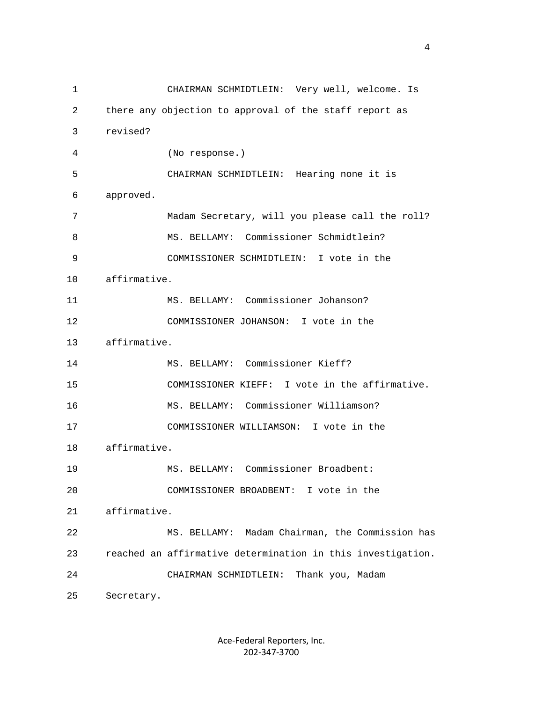1 CHAIRMAN SCHMIDTLEIN: Very well, welcome. Is 2 there any objection to approval of the staff report as 3 revised? 4 (No response.) 5 CHAIRMAN SCHMIDTLEIN: Hearing none it is 6 approved. 7 Madam Secretary, will you please call the roll? 8 MS. BELLAMY: Commissioner Schmidtlein? 9 COMMISSIONER SCHMIDTLEIN: I vote in the 10 affirmative. 11 MS. BELLAMY: Commissioner Johanson? 12 COMMISSIONER JOHANSON: I vote in the 13 affirmative. 14 MS. BELLAMY: Commissioner Kieff? 15 COMMISSIONER KIEFF: I vote in the affirmative. 16 MS. BELLAMY: Commissioner Williamson? 17 COMMISSIONER WILLIAMSON: I vote in the 18 affirmative. 19 MS. BELLAMY: Commissioner Broadbent: 20 COMMISSIONER BROADBENT: I vote in the 21 affirmative. 22 MS. BELLAMY: Madam Chairman, the Commission has 23 reached an affirmative determination in this investigation. 24 CHAIRMAN SCHMIDTLEIN: Thank you, Madam 25 Secretary.

> Ace-Federal Reporters, Inc. 202-347-3700

4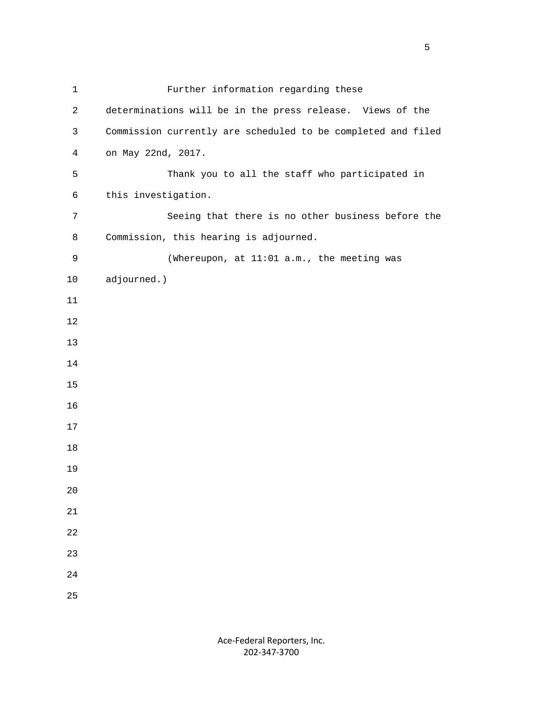| $\mathbf{1}$   | Further information regarding these                          |
|----------------|--------------------------------------------------------------|
| $\overline{c}$ | determinations will be in the press release. Views of the    |
| 3              | Commission currently are scheduled to be completed and filed |
| $\overline{4}$ | on May 22nd, 2017.                                           |
| 5              | Thank you to all the staff who participated in               |
| 6              | this investigation.                                          |
| $\overline{7}$ | Seeing that there is no other business before the            |
| 8              | Commission, this hearing is adjourned.                       |
| 9              | (Whereupon, at 11:01 a.m., the meeting was                   |
| 10             | adjourned.)                                                  |
| 11             |                                                              |
| 12             |                                                              |
| 13             |                                                              |
| 14             |                                                              |
| 15             |                                                              |
| 16             |                                                              |
| 17             |                                                              |
| 18             |                                                              |
| 19             |                                                              |
| 20             |                                                              |
| 21             |                                                              |
| 22             |                                                              |
| 23             |                                                              |
| 24             |                                                              |
| 25             |                                                              |